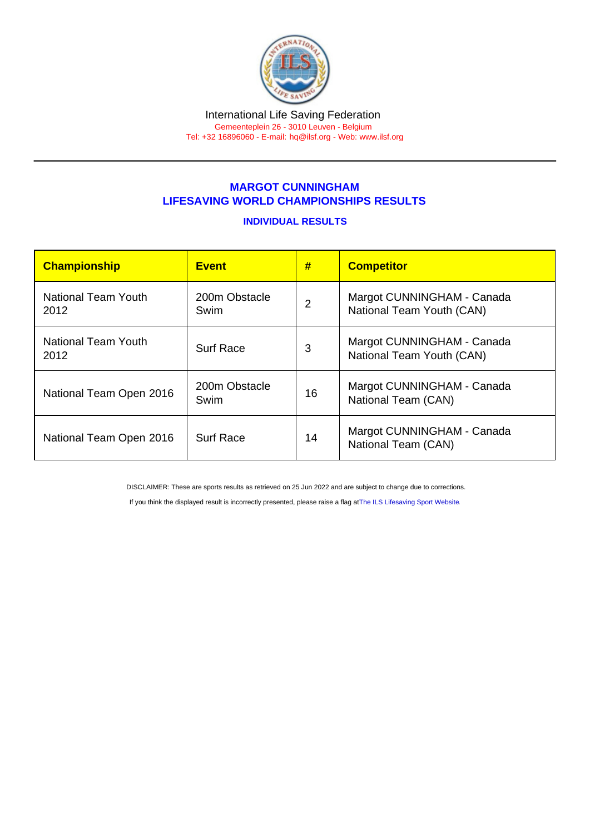## MARGOT CUNNINGHAM LIFESAVING WORLD CHAMPIONSHIPS RESULTS

## INDIVIDUAL RESULTS

| Championship                | <b>Event</b>          | #              | <b>Competitor</b>                                       |
|-----------------------------|-----------------------|----------------|---------------------------------------------------------|
| National Team Youth<br>2012 | 200m Obstacle<br>Swim | $\overline{2}$ | Margot CUNNINGHAM - Canada<br>National Team Youth (CAN) |
| National Team Youth<br>2012 | <b>Surf Race</b>      | 3              | Margot CUNNINGHAM - Canada<br>National Team Youth (CAN) |
| National Team Open 2016     | 200m Obstacle<br>Swim | 16             | Margot CUNNINGHAM - Canada<br>National Team (CAN)       |
| National Team Open 2016     | <b>Surf Race</b>      | 14             | Margot CUNNINGHAM - Canada<br>National Team (CAN)       |

DISCLAIMER: These are sports results as retrieved on 25 Jun 2022 and are subject to change due to corrections.

If you think the displayed result is incorrectly presented, please raise a flag at [The ILS Lifesaving Sport Website.](https://sport.ilsf.org)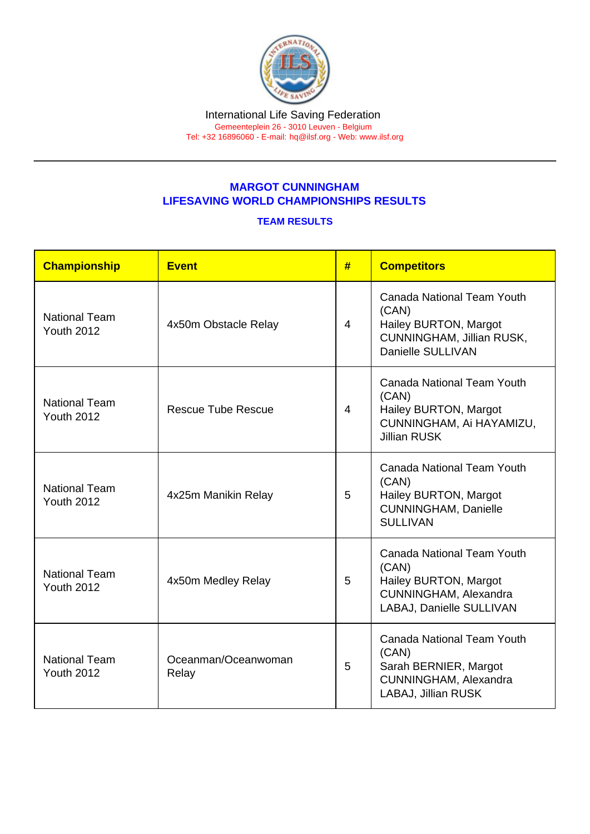## MARGOT CUNNINGHAM LIFESAVING WORLD CHAMPIONSHIPS RESULTS

## TEAM RESULTS

| Championship                              | Event                        | # | <b>Competitors</b>                                                                                                     |
|-------------------------------------------|------------------------------|---|------------------------------------------------------------------------------------------------------------------------|
| <b>National Team</b><br><b>Youth 2012</b> | 4x50m Obstacle Relay         | 4 | <b>Canada National Team Youth</b><br>(CAN)<br>Hailey BURTON, Margot<br>CUNNINGHAM, Jillian RUSK,<br>Danielle SULLIVAN  |
| <b>National Team</b><br><b>Youth 2012</b> | <b>Rescue Tube Rescue</b>    | 4 | <b>Canada National Team Youth</b><br>(CAN)<br>Hailey BURTON, Margot<br>CUNNINGHAM, Ai HAYAMIZU,<br><b>Jillian RUSK</b> |
| <b>National Team</b><br><b>Youth 2012</b> | 4x25m Manikin Relay          | 5 | <b>Canada National Team Youth</b><br>(CAN)<br>Hailey BURTON, Margot<br><b>CUNNINGHAM, Danielle</b><br><b>SULLIVAN</b>  |
| <b>National Team</b><br><b>Youth 2012</b> | 4x50m Medley Relay           | 5 | Canada National Team Youth<br>(CAN)<br>Hailey BURTON, Margot<br>CUNNINGHAM, Alexandra<br>LABAJ, Danielle SULLIVAN      |
| <b>National Team</b><br><b>Youth 2012</b> | Oceanman/Oceanwoman<br>Relay | 5 | <b>Canada National Team Youth</b><br>(CAN)<br>Sarah BERNIER, Margot<br>CUNNINGHAM, Alexandra<br>LABAJ, Jillian RUSK    |